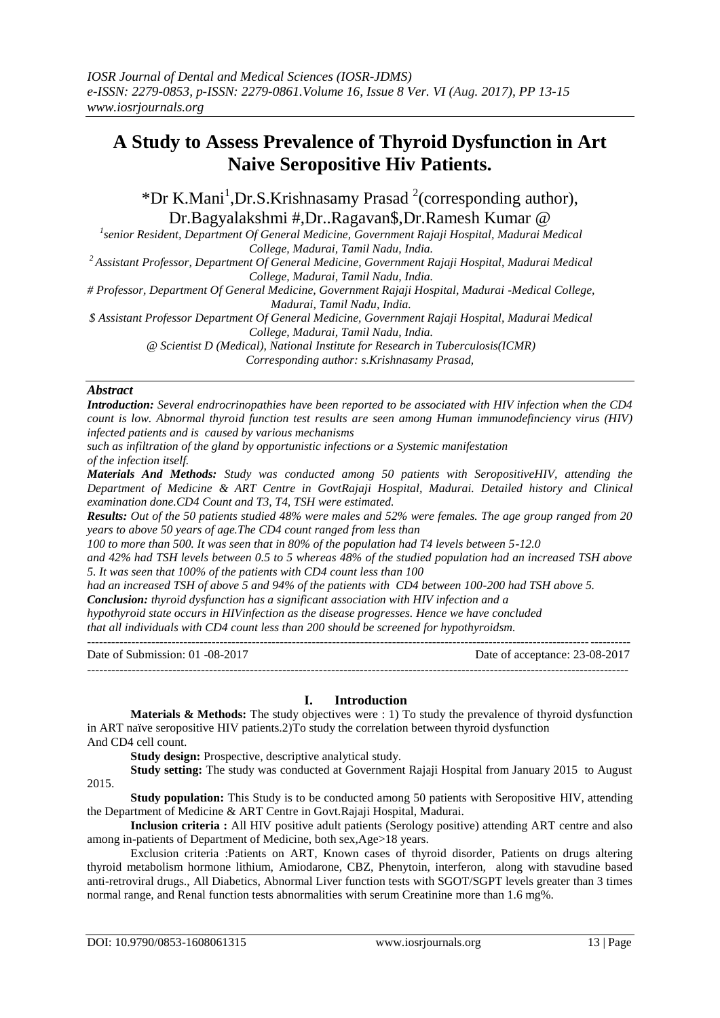# **A Study to Assess Prevalence of Thyroid Dysfunction in Art Naive Seropositive Hiv Patients.**

\*Dr K.Mani<sup>1</sup>,Dr.S.Krishnasamy Prasad<sup>2</sup> (corresponding author), Dr.Bagyalakshmi #,Dr..Ragavan\$,Dr.Ramesh Kumar @ *<sup>1</sup>*

<sup>1</sup> senior Resident, Department Of General Medicine, Government Rajaji Hospital, Madurai Medical *College, Madurai, Tamil Nadu, India.*

*<sup>2</sup>Assistant Professor, Department Of General Medicine, Government Rajaji Hospital, Madurai Medical College, Madurai, Tamil Nadu, India.*

*# Professor, Department Of General Medicine, Government Rajaji Hospital, Madurai -Medical College, Madurai, Tamil Nadu, India.*

*\$ Assistant Professor Department Of General Medicine, Government Rajaji Hospital, Madurai Medical College, Madurai, Tamil Nadu, India.*

*@ Scientist D (Medical), National Institute for Research in Tuberculosis(ICMR)*

*Corresponding author: s.Krishnasamy Prasad,*

# *Abstract*

*Introduction: Several endrocrinopathies have been reported to be associated with HIV infection when the CD4 count is low. Abnormal thyroid function test results are seen among Human immunodefinciency virus (HIV) infected patients and is caused by various mechanisms* 

*such as infiltration of the gland by opportunistic infections or a Systemic manifestation of the infection itself.*

*Materials And Methods: Study was conducted among 50 patients with SeropositiveHIV, attending the Department of Medicine & ART Centre in GovtRajaji Hospital, Madurai. Detailed history and Clinical examination done.CD4 Count and T3, T4, TSH were estimated.*

*Results: Out of the 50 patients studied 48% were males and 52% were females. The age group ranged from 20 years to above 50 years of age.The CD4 count ranged from less than* 

*100 to more than 500. It was seen that in 80% of the population had T4 levels between 5-12.0*

*and 42% had TSH levels between 0.5 to 5 whereas 48% of the studied population had an increased TSH above 5. It was seen that 100% of the patients with CD4 count less than 100*

*had an increased TSH of above 5 and 94% of the patients with CD4 between 100-200 had TSH above 5.*

*Conclusion: thyroid dysfunction has a significant association with HIV infection and a* 

*hypothyroid state occurs in HIVinfection as the disease progresses. Hence we have concluded*

*that all individuals with CD4 count less than 200 should be screened for hypothyroidsm.* **---------------------------------------------------------------------------------------------------------------------------------------**

Date of Submission: 01 -08-2017 Date of acceptance: 23-08-2017 -------------------------------------------------------------------------------------------------------------------------------------

# **I. Introduction**

**Materials & Methods:** The study objectives were : 1) To study the prevalence of thyroid dysfunction in ART naïve seropositive HIV patients.2)To study the correlation between thyroid dysfunction And CD4 cell count.

**Study design:** Prospective, descriptive analytical study.

**Study setting:** The study was conducted at Government Rajaji Hospital from January 2015 to August 2015.

**Study population:** This Study is to be conducted among 50 patients with Seropositive HIV, attending the Department of Medicine & ART Centre in Govt.Rajaji Hospital, Madurai.

**Inclusion criteria :** All HIV positive adult patients (Serology positive) attending ART centre and also among in-patients of Department of Medicine, both sex,Age>18 years.

Exclusion criteria :Patients on ART, Known cases of thyroid disorder, Patients on drugs altering thyroid metabolism hormone lithium, Amiodarone, CBZ, Phenytoin, interferon, along with stavudine based anti-retroviral drugs., All Diabetics, Abnormal Liver function tests with SGOT/SGPT levels greater than 3 times normal range, and Renal function tests abnormalities with serum Creatinine more than 1.6 mg%.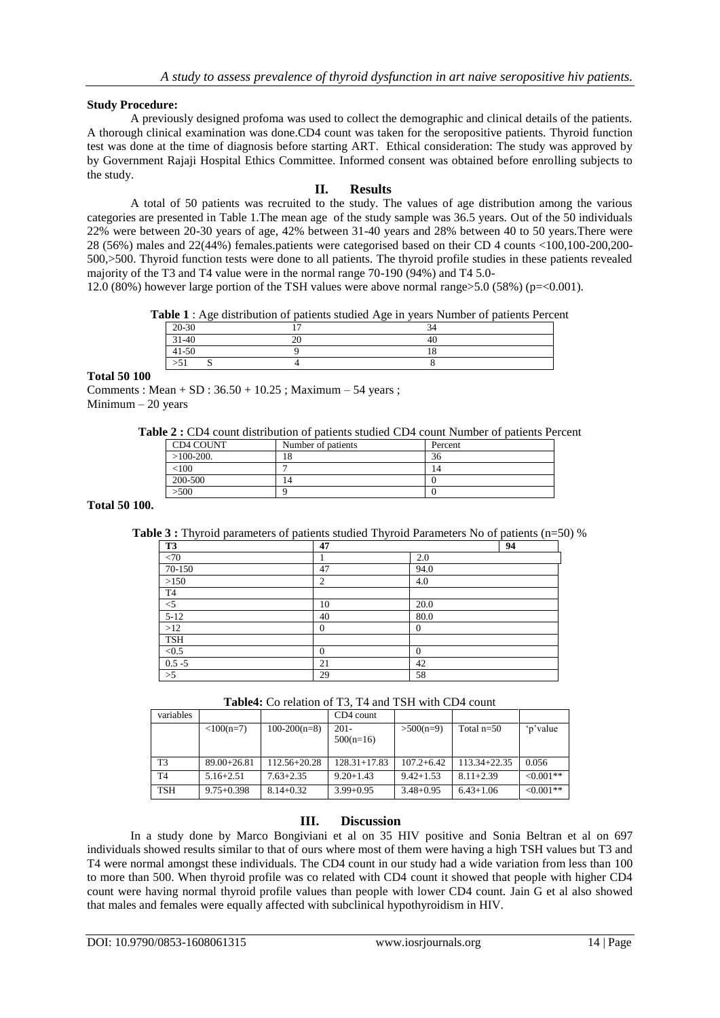## **Study Procedure:**

A previously designed profoma was used to collect the demographic and clinical details of the patients. A thorough clinical examination was done.CD4 count was taken for the seropositive patients. Thyroid function test was done at the time of diagnosis before starting ART. Ethical consideration: The study was approved by by Government Rajaji Hospital Ethics Committee. Informed consent was obtained before enrolling subjects to the study.

# **II. Results**

A total of 50 patients was recruited to the study. The values of age distribution among the various categories are presented in Table 1.The mean age of the study sample was 36.5 years. Out of the 50 individuals 22% were between 20-30 years of age, 42% between 31-40 years and 28% between 40 to 50 years.There were 28 (56%) males and 22(44%) females.patients were categorised based on their CD 4 counts <100,100-200,200- 500,>500. Thyroid function tests were done to all patients. The thyroid profile studies in these patients revealed majority of the T3 and T4 value were in the normal range 70-190 (94%) and T4 5.0-

12.0 (80%) however large portion of the TSH values were above normal range>5.0 (58%) (p=<0.001).

**Table 1** : Age distribution of patients studied Age in years Number of patients Percent

| 20-30     | $\overline{\phantom{0}}$ | $\sim$<br>34 |  |
|-----------|--------------------------|--------------|--|
| $31 - 40$ | $\gamma$                 | 40           |  |
| $41 - 50$ |                          | 10<br>10     |  |
| > 51      | ∼                        |              |  |
|           |                          |              |  |

#### **Total 50 100**

Comments : Mean + SD :  $36.50 + 10.25$ ; Maximum – 54 years ; Minimum  $-20$  years

**Table 2 :** CD4 count distribution of patients studied CD4 count Number of patients Percent

| CD4 COUNT    | Number of patients | Percent |
|--------------|--------------------|---------|
| $>100-200$ . | 18                 | 36      |
| < 100        |                    | 14      |
| 200-500      | 14                 |         |
| >500         |                    |         |
|              |                    |         |

**Total 50 100.**

**Table 3 :** Thyroid parameters of patients studied Thyroid Parameters No of patients (n=50) %

| T <sub>3</sub>   | 47             |                  | 94 |
|------------------|----------------|------------------|----|
| $\overline{<}70$ |                | 2.0              |    |
| 70-150           | 47             | 94.0             |    |
| >150             | $\overline{2}$ | 4.0              |    |
| T <sub>4</sub>   |                |                  |    |
| $\leq 5$         | 10             | 20.0             |    |
| $5-12$           | 40             | 80.0             |    |
| $>12$            | $\mathbf{0}$   | $\boldsymbol{0}$ |    |
| <b>TSH</b>       |                |                  |    |
| < 0.5            | $\mathbf{0}$   | $\theta$         |    |
| $0.5 - 5$        | 21             | 42               |    |
| >5               | 29             | 58               |    |

**Table4:** Co relation of T3, T4 and TSH with CD4 count

| variables      |                 |                  | CD4 count              |                |               |             |
|----------------|-----------------|------------------|------------------------|----------------|---------------|-------------|
|                | $<100(n=7)$     | $100-200(n=8)$   | $201 -$<br>$500(n=16)$ | $>500(n=9)$    | Total $n=50$  | 'p'value    |
| T3             | $89.00 + 26.81$ | $112.56 + 20.28$ | $128.31 + 17.83$       | $107.2 + 6.42$ | 113.34+22.35  | 0.056       |
| T <sub>4</sub> | $5.16 + 2.51$   | $7.63 + 2.35$    | $9.20 + 1.43$          | $9.42 + 1.53$  | $8.11 + 2.39$ | $< 0.001**$ |
| <b>TSH</b>     | $9.75 + 0.398$  | $8.14 + 0.32$    | $3.99 + 0.95$          | $3.48 + 0.95$  | $6.43 + 1.06$ | $< 0.001**$ |

# **III. Discussion**

In a study done by Marco Bongiviani et al on 35 HIV positive and Sonia Beltran et al on 697 individuals showed results similar to that of ours where most of them were having a high TSH values but T3 and T4 were normal amongst these individuals. The CD4 count in our study had a wide variation from less than 100 to more than 500. When thyroid profile was co related with CD4 count it showed that people with higher CD4 count were having normal thyroid profile values than people with lower CD4 count. Jain G et al also showed that males and females were equally affected with subclinical hypothyroidism in HIV.